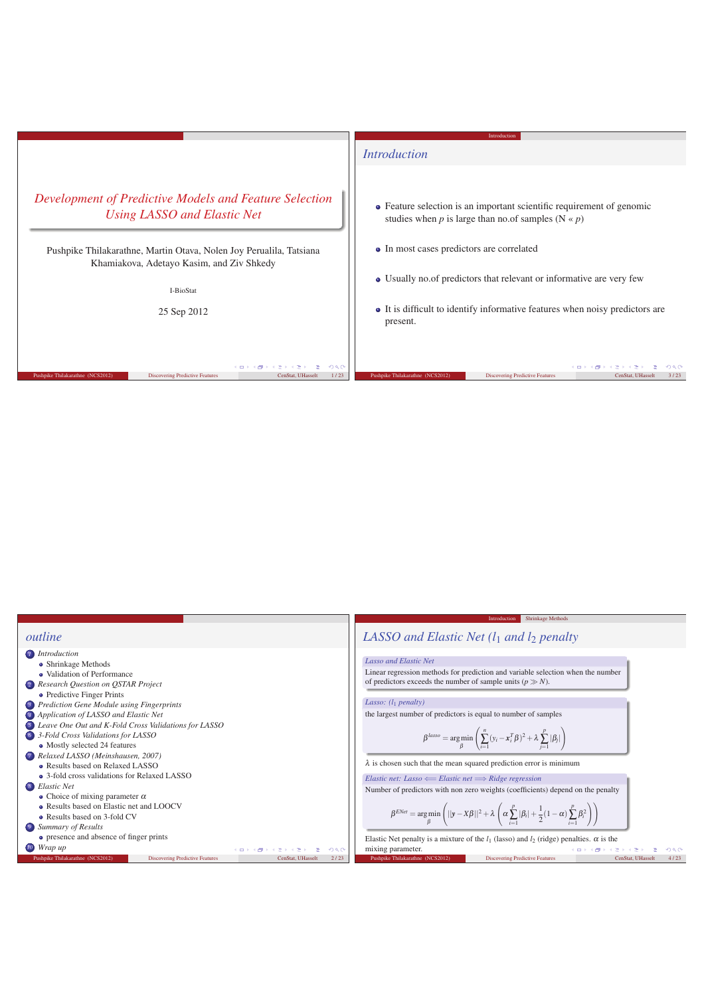

|                                                                                                                                                                                                                                                                                                                                                                                                                                                                                                                                                                                                                                                              | Shrinkage Methods<br>Introduction                                                                                                                                                                                                                                                                                                                                                                                                                                                                                                                                                                                                                                                                                                                                                                                                                                |  |  |  |  |
|--------------------------------------------------------------------------------------------------------------------------------------------------------------------------------------------------------------------------------------------------------------------------------------------------------------------------------------------------------------------------------------------------------------------------------------------------------------------------------------------------------------------------------------------------------------------------------------------------------------------------------------------------------------|------------------------------------------------------------------------------------------------------------------------------------------------------------------------------------------------------------------------------------------------------------------------------------------------------------------------------------------------------------------------------------------------------------------------------------------------------------------------------------------------------------------------------------------------------------------------------------------------------------------------------------------------------------------------------------------------------------------------------------------------------------------------------------------------------------------------------------------------------------------|--|--|--|--|
| outline                                                                                                                                                                                                                                                                                                                                                                                                                                                                                                                                                                                                                                                      | LASSO and Elastic Net $(l_1$ and $l_2$ penalty                                                                                                                                                                                                                                                                                                                                                                                                                                                                                                                                                                                                                                                                                                                                                                                                                   |  |  |  |  |
| <i>I</i> Introduction<br>• Shrinkage Methods<br>• Validation of Performance<br>2 Research Question on QSTAR Project<br>• Predictive Finger Prints<br><b>B</b> Prediction Gene Module using Fingerprints<br>4 Application of LASSO and Elastic Net<br><b>S</b> Leave One Out and K-Fold Cross Validations for LASSO<br>6 3-Fold Cross Validations for LASSO<br>• Mostly selected 24 features<br>7 Relaxed LASSO (Meinshausen, 2007)<br>• Results based on Relaxed LASSO<br>• 3-fold cross validations for Relaxed LASSO<br>8 Elastic Net<br>• Choice of mixing parameter $\alpha$<br>• Results based on Elastic net and LOOCV<br>• Results based on 3-fold CV | Lasso and Elastic Net<br>Linear regression methods for prediction and variable selection when the number<br>of predictors exceeds the number of sample units $(p \gg N)$ .<br>Lasso: $(l_1$ penalty)<br>the largest number of predictors is equal to number of samples<br>$\beta^{lasso} = \argmin_{\beta} \left( \sum_{i=1}^{n} (y_i - x_i^T \beta)^2 + \lambda \sum_{i=1}^{p}  \beta_i  \right)$<br>$\lambda$ is chosen such that the mean squared prediction error is minimum<br><i>Elastic net: Lasso <math>\leftarrow</math> Elastic net <math>\Longrightarrow</math> Ridge regression</i><br>Number of predictors with non zero weights (coefficients) depend on the penalty<br>$\beta^{ENet} = \arg\min_{\beta} \left(   y - X\beta  ^2 + \lambda \left( \alpha \sum_{i=1}^p  \beta_i  + \frac{1}{2} (1 - \alpha) \sum_{i=1}^p \beta_i^2 \right) \right)$ |  |  |  |  |
| 9 Summary of Results                                                                                                                                                                                                                                                                                                                                                                                                                                                                                                                                                                                                                                         |                                                                                                                                                                                                                                                                                                                                                                                                                                                                                                                                                                                                                                                                                                                                                                                                                                                                  |  |  |  |  |
| • presence and absence of finger prints<br>10 Wrap up<br>(ロ) (部) (き) (き) (き)<br>200                                                                                                                                                                                                                                                                                                                                                                                                                                                                                                                                                                          | Elastic Net penalty is a mixture of the $l_1$ (lasso) and $l_2$ (ridge) penalties. $\alpha$ is the<br>mixing parameter.<br>コンスタンス ミンスミン ニミ<br>200                                                                                                                                                                                                                                                                                                                                                                                                                                                                                                                                                                                                                                                                                                                |  |  |  |  |
| Pushpike Thilakarathne (NCS2012)<br><b>Discovering Predictive Features</b><br>2/23<br>CenStat, UHasselt                                                                                                                                                                                                                                                                                                                                                                                                                                                                                                                                                      | Pushpike Thilakarathne (NCS2012)<br><b>Discovering Predictive Features</b><br>4/23<br>CenStat, UHasselt                                                                                                                                                                                                                                                                                                                                                                                                                                                                                                                                                                                                                                                                                                                                                          |  |  |  |  |
|                                                                                                                                                                                                                                                                                                                                                                                                                                                                                                                                                                                                                                                              |                                                                                                                                                                                                                                                                                                                                                                                                                                                                                                                                                                                                                                                                                                                                                                                                                                                                  |  |  |  |  |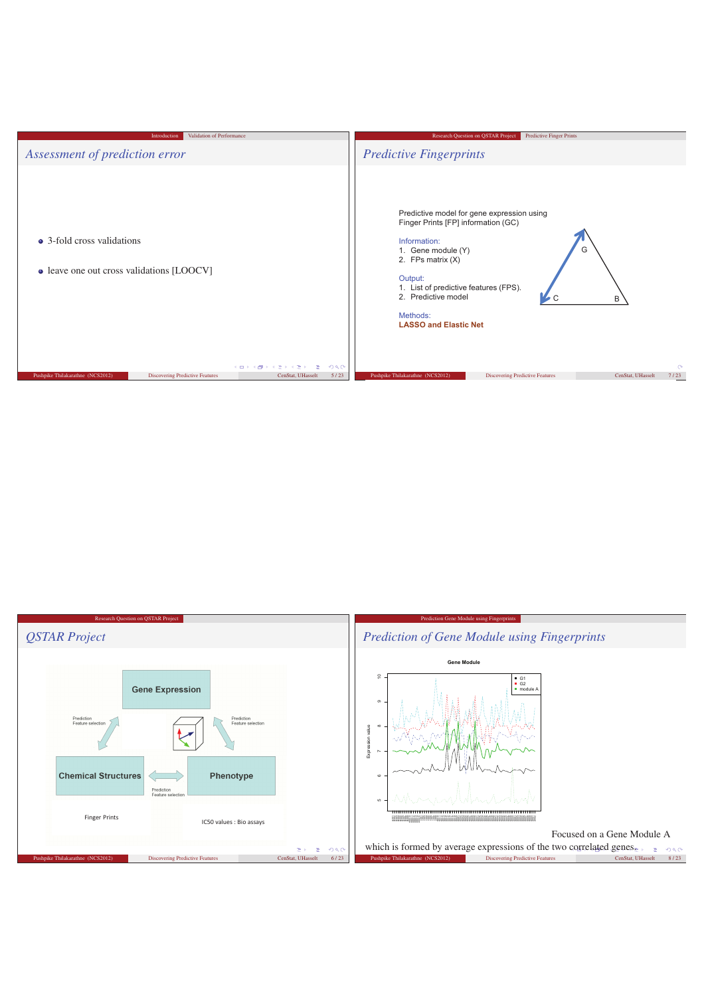

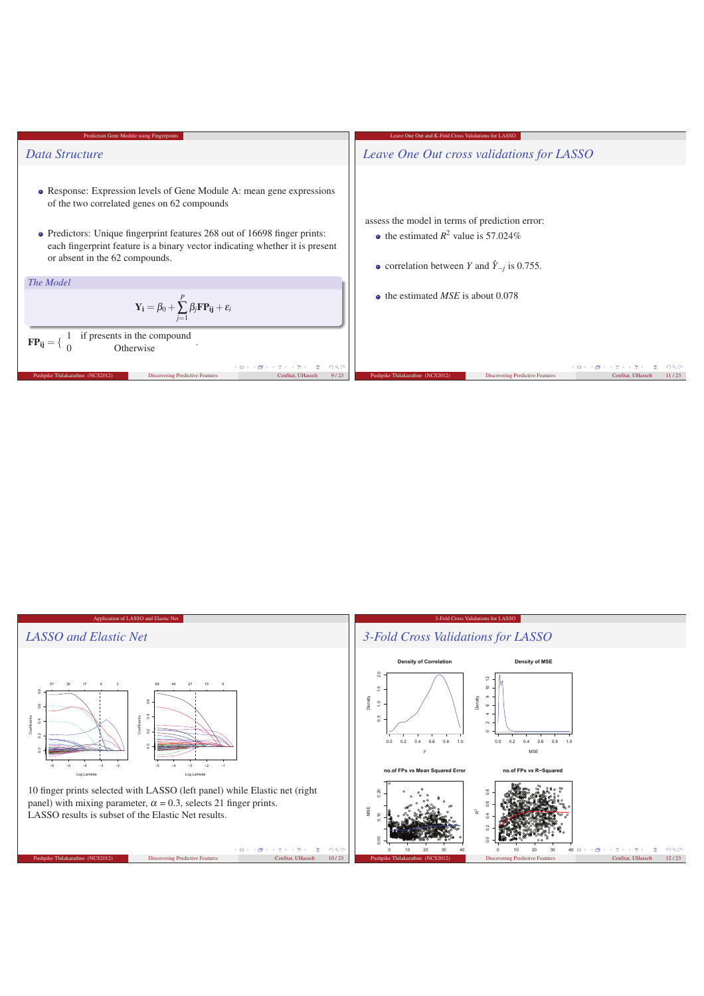

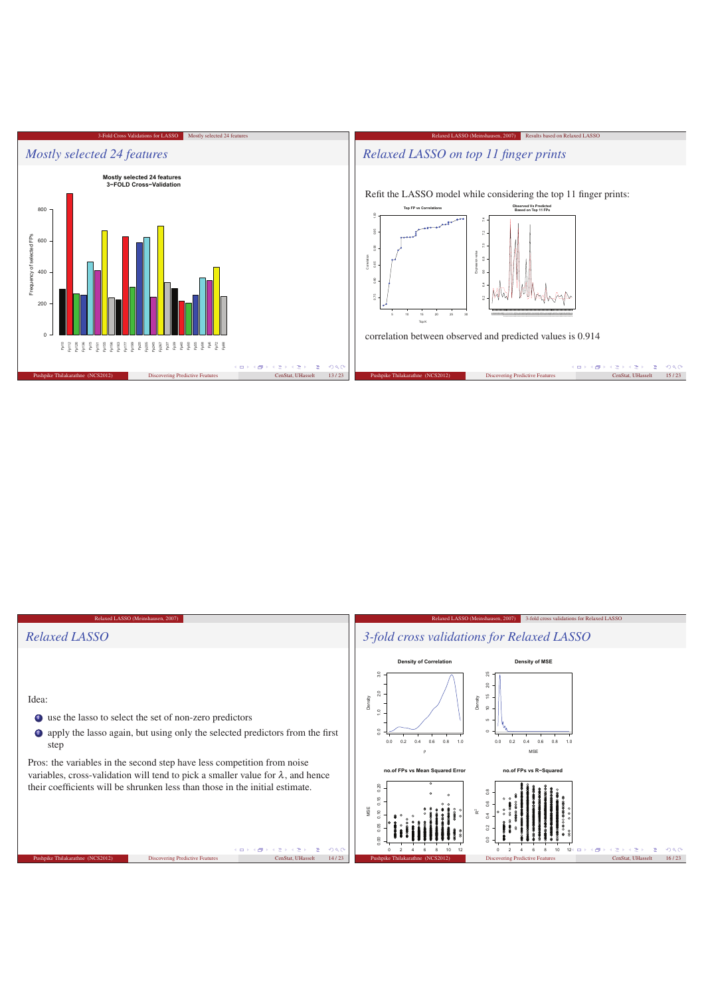

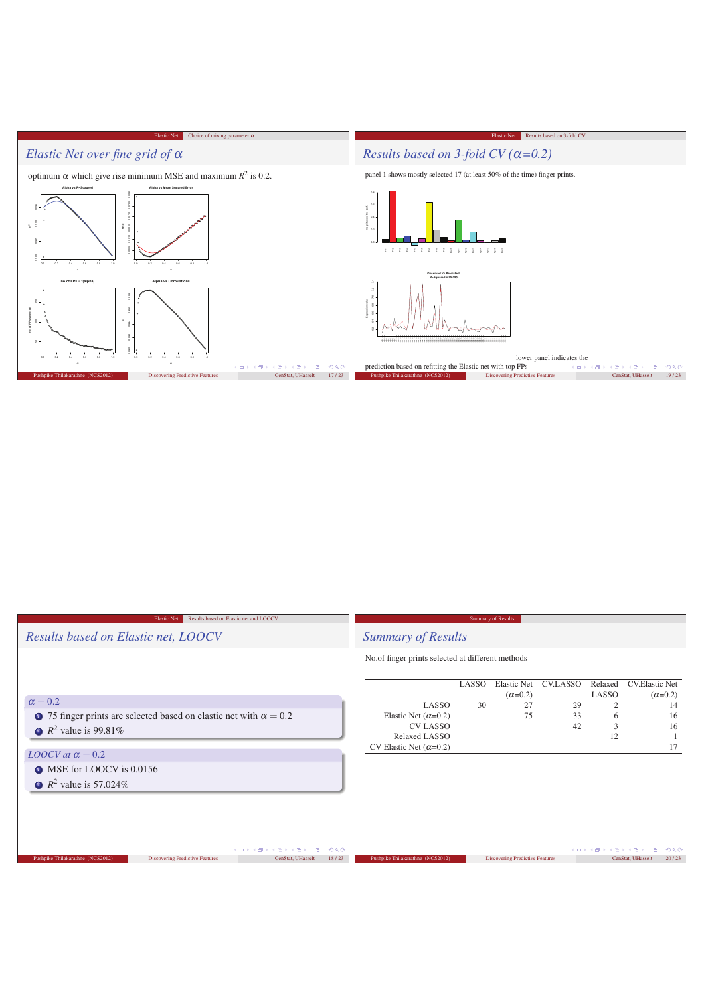

| Results based on Elastic net and LOOCV<br><b>Elastic Net</b>                                                                          | <b>Summary of Results</b>                         |       |                                        |          |                   |                                         |              |  |
|---------------------------------------------------------------------------------------------------------------------------------------|---------------------------------------------------|-------|----------------------------------------|----------|-------------------|-----------------------------------------|--------------|--|
| Results based on Elastic net, LOOCV                                                                                                   | <b>Summary of Results</b>                         |       |                                        |          |                   |                                         |              |  |
|                                                                                                                                       | No.of finger prints selected at different methods |       |                                        |          |                   |                                         |              |  |
|                                                                                                                                       |                                                   | LASSO | <b>Elastic Net</b><br>$(\alpha=0.2)$   | CV.LASSO | Relaxed<br>LASSO  | <b>CV.Elastic Net</b><br>$(\alpha=0.2)$ |              |  |
| $\alpha = 0.2$                                                                                                                        | LASSO                                             | 30    | 27                                     | 29       | $\overline{2}$    |                                         | 14           |  |
| • 75 finger prints are selected based on elastic net with $\alpha = 0.2$                                                              | Elastic Net $(\alpha=0.2)$                        |       | 75                                     | 33       | 6                 |                                         | 16           |  |
| $\bullet$ $R^2$ value is 99.81%                                                                                                       | <b>CV LASSO</b>                                   |       |                                        | 42       | 3                 |                                         | 16           |  |
|                                                                                                                                       | Relaxed LASSO                                     |       |                                        |          | 12                |                                         |              |  |
| LOOCV at $\alpha = 0.2$                                                                                                               | CV Elastic Net $(\alpha=0.2)$                     |       |                                        |          |                   |                                         | 17           |  |
| • MSE for LOOCV is 0.0156                                                                                                             |                                                   |       |                                        |          |                   |                                         |              |  |
| • $R^2$ value is 57.024\%                                                                                                             |                                                   |       |                                        |          |                   |                                         |              |  |
|                                                                                                                                       |                                                   |       |                                        |          |                   |                                         |              |  |
|                                                                                                                                       |                                                   |       |                                        |          |                   |                                         |              |  |
|                                                                                                                                       |                                                   |       |                                        |          |                   |                                         |              |  |
|                                                                                                                                       |                                                   |       |                                        |          |                   |                                         |              |  |
| イロトス 御き スラトスライー ヨー<br>298<br>Pushpike Thilakarathne (NCS2012)<br>18/23<br><b>Discovering Predictive Features</b><br>CenStat, UHasselt | Pushpike Thilakarathne (NCS2012)                  |       | <b>Discovering Predictive Features</b> |          | メロメメ 御きメモ メモ きっぽう | CenStat, UHasselt                       | 298<br>20/23 |  |
|                                                                                                                                       |                                                   |       |                                        |          |                   |                                         |              |  |